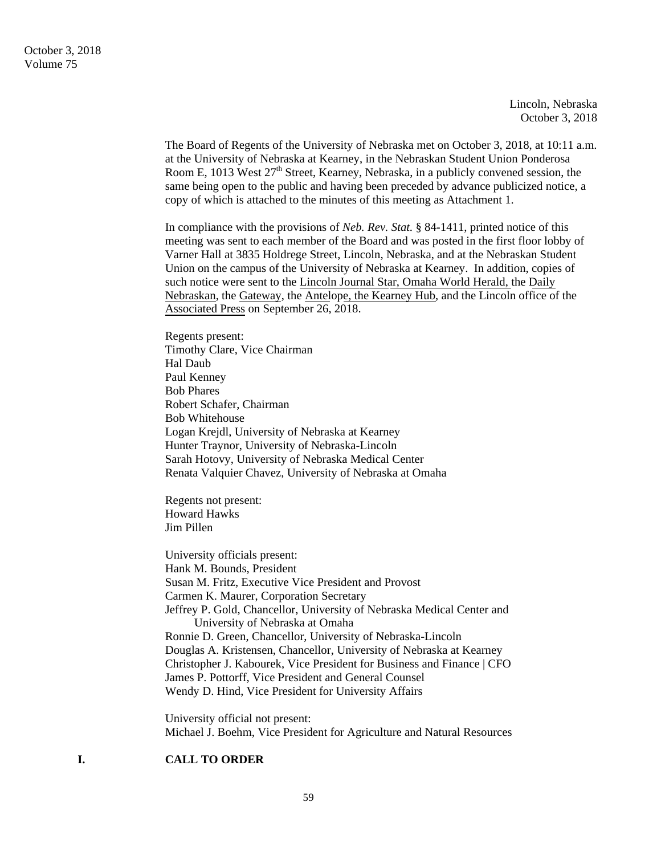Lincoln, Nebraska October 3, 2018

The Board of Regents of the University of Nebraska met on October 3, 2018, at 10:11 a.m. at the University of Nebraska at Kearney, in the Nebraskan Student Union Ponderosa Room E, 1013 West 27<sup>th</sup> Street, Kearney, Nebraska, in a publicly convened session, the same being open to the public and having been preceded by advance publicized notice, a copy of which is attached to the minutes of this meeting as Attachment 1.

In compliance with the provisions of *Neb. Rev. Stat.* § 84-1411, printed notice of this meeting was sent to each member of the Board and was posted in the first floor lobby of Varner Hall at 3835 Holdrege Street, Lincoln, Nebraska, and at the Nebraskan Student Union on the campus of the University of Nebraska at Kearney. In addition, copies of such notice were sent to the Lincoln Journal Star, Omaha World Herald, the Daily Nebraskan, the Gateway, the Antelope, the Kearney Hub, and the Lincoln office of the Associated Press on September 26, 2018.

Regents present: Timothy Clare, Vice Chairman Hal Daub Paul Kenney Bob Phares Robert Schafer, Chairman Bob Whitehouse Logan Krejdl, University of Nebraska at Kearney Hunter Traynor, University of Nebraska-Lincoln Sarah Hotovy, University of Nebraska Medical Center Renata Valquier Chavez, University of Nebraska at Omaha

Regents not present: Howard Hawks Jim Pillen

University officials present: Hank M. Bounds, President Susan M. Fritz, Executive Vice President and Provost Carmen K. Maurer, Corporation Secretary Jeffrey P. Gold, Chancellor, University of Nebraska Medical Center and University of Nebraska at Omaha Ronnie D. Green, Chancellor, University of Nebraska-Lincoln Douglas A. Kristensen, Chancellor, University of Nebraska at Kearney Christopher J. Kabourek, Vice President for Business and Finance | CFO James P. Pottorff, Vice President and General Counsel Wendy D. Hind, Vice President for University Affairs

University official not present: Michael J. Boehm, Vice President for Agriculture and Natural Resources

## **I. CALL TO ORDER**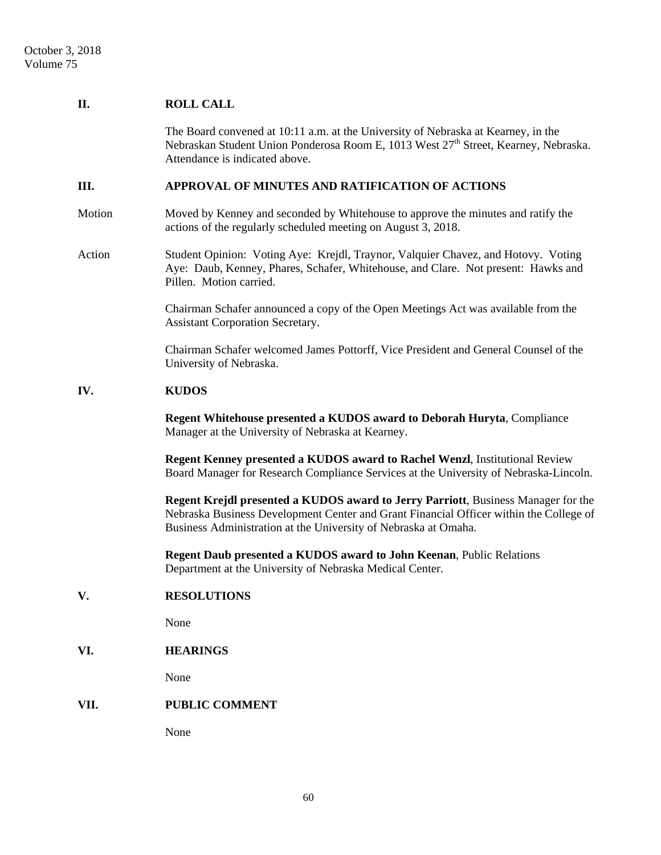## **II. ROLL CALL**

The Board convened at 10:11 a.m. at the University of Nebraska at Kearney, in the Nebraskan Student Union Ponderosa Room E, 1013 West 27<sup>th</sup> Street, Kearney, Nebraska. Attendance is indicated above.

### **III. APPROVAL OF MINUTES AND RATIFICATION OF ACTIONS**

Motion Moved by Kenney and seconded by Whitehouse to approve the minutes and ratify the actions of the regularly scheduled meeting on August 3, 2018.

Action Student Opinion: Voting Aye: Krejdl, Traynor, Valquier Chavez, and Hotovy. Voting Aye: Daub, Kenney, Phares, Schafer, Whitehouse, and Clare. Not present: Hawks and Pillen. Motion carried.

> Chairman Schafer announced a copy of the Open Meetings Act was available from the Assistant Corporation Secretary.

 Chairman Schafer welcomed James Pottorff, Vice President and General Counsel of the University of Nebraska.

#### **IV. KUDOS**

**Regent Whitehouse presented a KUDOS award to Deborah Huryta**, Compliance Manager at the University of Nebraska at Kearney.

**Regent Kenney presented a KUDOS award to Rachel Wenzl**, Institutional Review Board Manager for Research Compliance Services at the University of Nebraska-Lincoln.

**Regent Krejdl presented a KUDOS award to Jerry Parriott**, Business Manager for the Nebraska Business Development Center and Grant Financial Officer within the College of Business Administration at the University of Nebraska at Omaha.

**Regent Daub presented a KUDOS award to John Keenan**, Public Relations Department at the University of Nebraska Medical Center.

#### **V. RESOLUTIONS**

None

### **VI. HEARINGS**

None

#### **VII. PUBLIC COMMENT**

None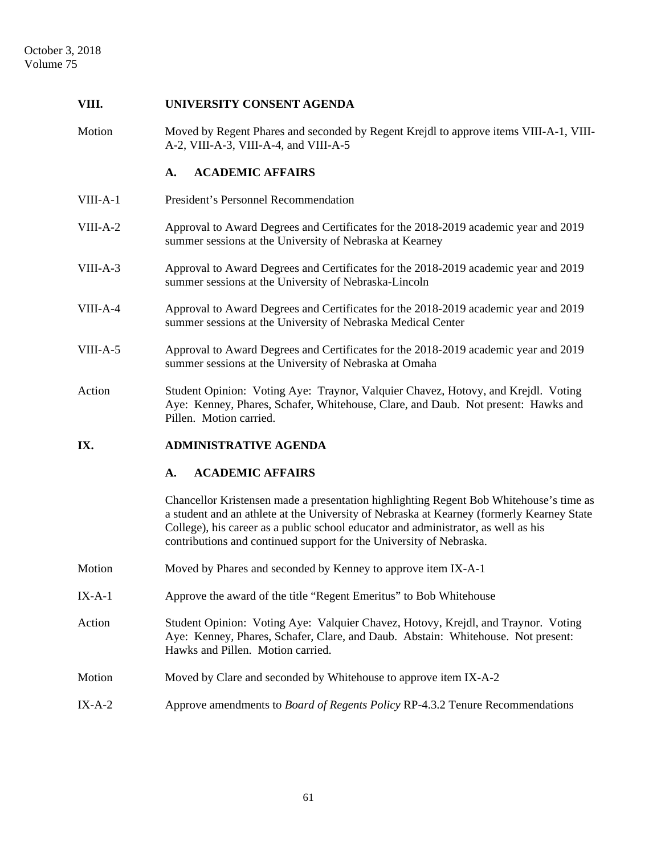# **VIII. UNIVERSITY CONSENT AGENDA**  Motion Moved by Regent Phares and seconded by Regent Krejdl to approve items VIII-A-1, VIII-A-2, VIII-A-3, VIII-A-4, and VIII-A-5 **A. ACADEMIC AFFAIRS**  VIII-A-1 President's Personnel Recommendation VIII-A-2 Approval to Award Degrees and Certificates for the 2018-2019 academic year and 2019 summer sessions at the University of Nebraska at Kearney VIII-A-3 Approval to Award Degrees and Certificates for the 2018-2019 academic year and 2019 summer sessions at the University of Nebraska-Lincoln VIII-A-4 Approval to Award Degrees and Certificates for the 2018-2019 academic year and 2019 summer sessions at the University of Nebraska Medical Center VIII-A-5 Approval to Award Degrees and Certificates for the 2018-2019 academic year and 2019 summer sessions at the University of Nebraska at Omaha Action Student Opinion: Voting Aye: Traynor, Valquier Chavez, Hotovy, and Krejdl. Voting Aye: Kenney, Phares, Schafer, Whitehouse, Clare, and Daub. Not present: Hawks and Pillen. Motion carried. **IX. ADMINISTRATIVE AGENDA A. ACADEMIC AFFAIRS**  Chancellor Kristensen made a presentation highlighting Regent Bob Whitehouse's time as a student and an athlete at the University of Nebraska at Kearney (formerly Kearney State College), his career as a public school educator and administrator, as well as his contributions and continued support for the University of Nebraska. Motion Moved by Phares and seconded by Kenney to approve item IX-A-1 IX-A-1 Approve the award of the title "Regent Emeritus" to Bob Whitehouse Action Student Opinion: Voting Aye: Valquier Chavez, Hotovy, Krejdl, and Traynor. Voting Aye: Kenney, Phares, Schafer, Clare, and Daub. Abstain: Whitehouse. Not present: Hawks and Pillen. Motion carried. Motion Moved by Clare and seconded by Whitehouse to approve item IX-A-2 IX-A-2 Approve amendments to *Board of Regents Policy* RP-4.3.2 Tenure Recommendations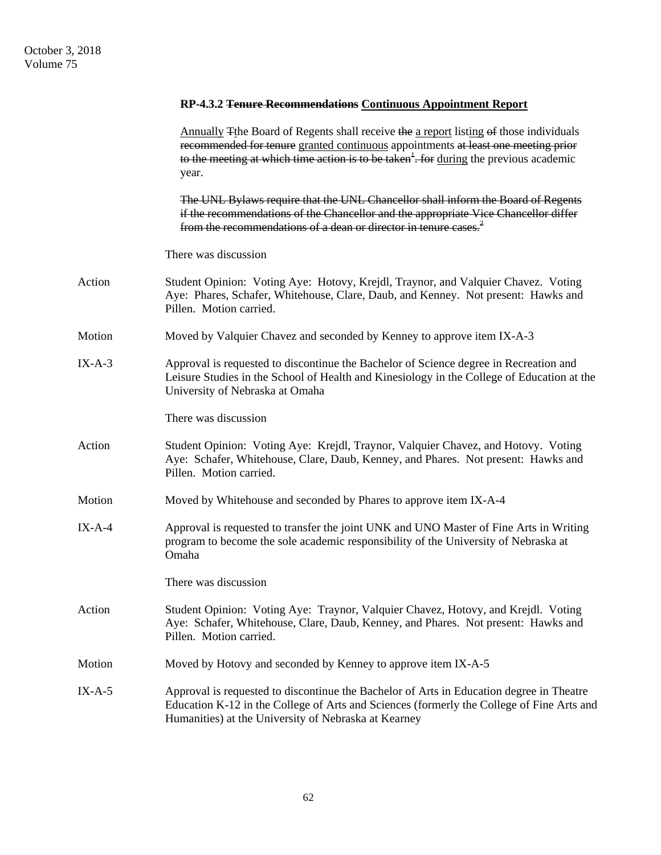|          | RP-4.3.2 Tenure Recommendations Continuous Appointment Report                                                                                                                                                                                                                                                    |
|----------|------------------------------------------------------------------------------------------------------------------------------------------------------------------------------------------------------------------------------------------------------------------------------------------------------------------|
|          | Annually The Board of Regents shall receive the a report listing of those individuals<br>recommended for tenure granted continuous appointments at least one meeting prior<br>to the meeting at which time action is to be taken <sup><math>\frac{1}{2}</math></sup> . For during the previous academic<br>year. |
|          | The UNL Bylaws require that the UNL Chancellor shall inform the Board of Regents<br>if the recommendations of the Chancellor and the appropriate Vice Chancellor differ<br>from the recommendations of a dean or director in tenure cases. <sup>2</sup>                                                          |
|          | There was discussion                                                                                                                                                                                                                                                                                             |
| Action   | Student Opinion: Voting Aye: Hotovy, Krejdl, Traynor, and Valquier Chavez. Voting<br>Aye: Phares, Schafer, Whitehouse, Clare, Daub, and Kenney. Not present: Hawks and<br>Pillen. Motion carried.                                                                                                                |
| Motion   | Moved by Valquier Chavez and seconded by Kenney to approve item IX-A-3                                                                                                                                                                                                                                           |
| $IX-A-3$ | Approval is requested to discontinue the Bachelor of Science degree in Recreation and<br>Leisure Studies in the School of Health and Kinesiology in the College of Education at the<br>University of Nebraska at Omaha                                                                                           |
|          | There was discussion                                                                                                                                                                                                                                                                                             |
| Action   | Student Opinion: Voting Aye: Krejdl, Traynor, Valquier Chavez, and Hotovy. Voting<br>Aye: Schafer, Whitehouse, Clare, Daub, Kenney, and Phares. Not present: Hawks and<br>Pillen. Motion carried.                                                                                                                |
| Motion   | Moved by Whitehouse and seconded by Phares to approve item IX-A-4                                                                                                                                                                                                                                                |
| $IX-A-4$ | Approval is requested to transfer the joint UNK and UNO Master of Fine Arts in Writing<br>program to become the sole academic responsibility of the University of Nebraska at<br>Omaha                                                                                                                           |
|          | There was discussion                                                                                                                                                                                                                                                                                             |
| Action   | Student Opinion: Voting Aye: Traynor, Valquier Chavez, Hotovy, and Krejdl. Voting<br>Aye: Schafer, Whitehouse, Clare, Daub, Kenney, and Phares. Not present: Hawks and<br>Pillen. Motion carried.                                                                                                                |
| Motion   | Moved by Hotovy and seconded by Kenney to approve item IX-A-5                                                                                                                                                                                                                                                    |
| $IX-A-5$ | Approval is requested to discontinue the Bachelor of Arts in Education degree in Theatre<br>Education K-12 in the College of Arts and Sciences (formerly the College of Fine Arts and<br>Humanities) at the University of Nebraska at Kearney                                                                    |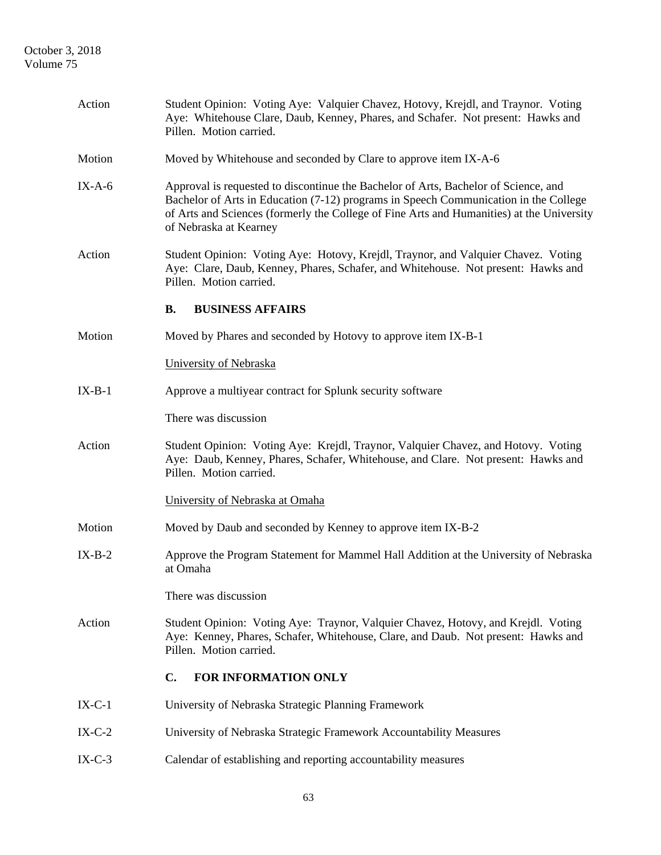| Action   | Student Opinion: Voting Aye: Valquier Chavez, Hotovy, Krejdl, and Traynor. Voting<br>Aye: Whitehouse Clare, Daub, Kenney, Phares, and Schafer. Not present: Hawks and<br>Pillen. Motion carried.                                                                                                   |  |  |
|----------|----------------------------------------------------------------------------------------------------------------------------------------------------------------------------------------------------------------------------------------------------------------------------------------------------|--|--|
| Motion   | Moved by Whitehouse and seconded by Clare to approve item IX-A-6                                                                                                                                                                                                                                   |  |  |
| $IX-A-6$ | Approval is requested to discontinue the Bachelor of Arts, Bachelor of Science, and<br>Bachelor of Arts in Education (7-12) programs in Speech Communication in the College<br>of Arts and Sciences (formerly the College of Fine Arts and Humanities) at the University<br>of Nebraska at Kearney |  |  |
| Action   | Student Opinion: Voting Aye: Hotovy, Krejdl, Traynor, and Valquier Chavez. Voting<br>Aye: Clare, Daub, Kenney, Phares, Schafer, and Whitehouse. Not present: Hawks and<br>Pillen. Motion carried.                                                                                                  |  |  |
|          | <b>B.</b><br><b>BUSINESS AFFAIRS</b>                                                                                                                                                                                                                                                               |  |  |
| Motion   | Moved by Phares and seconded by Hotovy to approve item IX-B-1                                                                                                                                                                                                                                      |  |  |
|          | University of Nebraska                                                                                                                                                                                                                                                                             |  |  |
| $IX-B-1$ | Approve a multiyear contract for Splunk security software                                                                                                                                                                                                                                          |  |  |
|          | There was discussion                                                                                                                                                                                                                                                                               |  |  |
| Action   | Student Opinion: Voting Aye: Krejdl, Traynor, Valquier Chavez, and Hotovy. Voting<br>Aye: Daub, Kenney, Phares, Schafer, Whitehouse, and Clare. Not present: Hawks and<br>Pillen. Motion carried.                                                                                                  |  |  |
|          | University of Nebraska at Omaha                                                                                                                                                                                                                                                                    |  |  |
| Motion   | Moved by Daub and seconded by Kenney to approve item IX-B-2                                                                                                                                                                                                                                        |  |  |
| $IX-B-2$ | Approve the Program Statement for Mammel Hall Addition at the University of Nebraska<br>at Omaha                                                                                                                                                                                                   |  |  |
|          | There was discussion                                                                                                                                                                                                                                                                               |  |  |
| Action   | Student Opinion: Voting Aye: Traynor, Valquier Chavez, Hotovy, and Krejdl. Voting<br>Aye: Kenney, Phares, Schafer, Whitehouse, Clare, and Daub. Not present: Hawks and<br>Pillen. Motion carried.                                                                                                  |  |  |
|          | C.<br>FOR INFORMATION ONLY                                                                                                                                                                                                                                                                         |  |  |
| $IX-C-1$ | University of Nebraska Strategic Planning Framework                                                                                                                                                                                                                                                |  |  |
| $IX-C-2$ | University of Nebraska Strategic Framework Accountability Measures                                                                                                                                                                                                                                 |  |  |
| $IX-C-3$ | Calendar of establishing and reporting accountability measures                                                                                                                                                                                                                                     |  |  |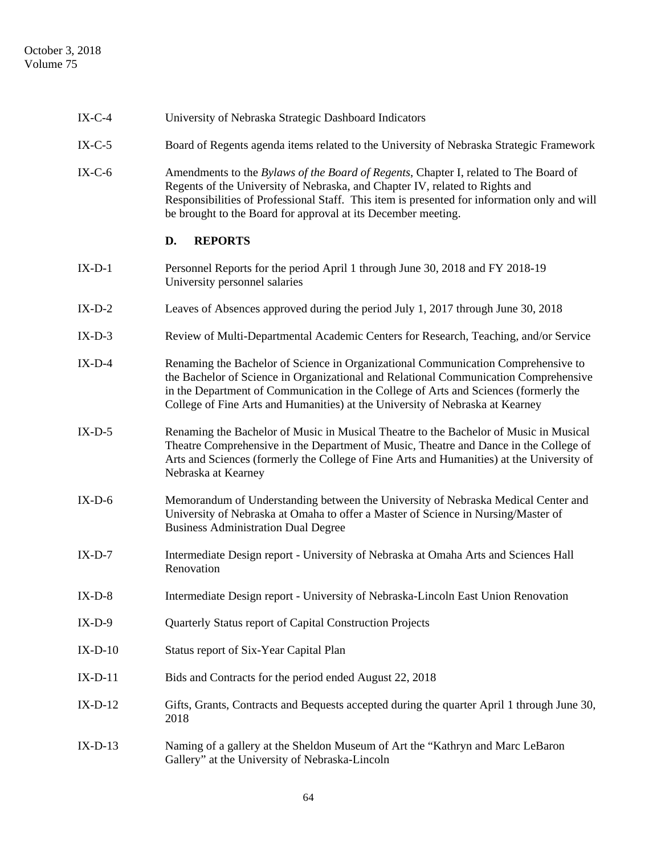| $IX-C-4$  | University of Nebraska Strategic Dashboard Indicators                                                                                                                                                                                                                                                                                              |
|-----------|----------------------------------------------------------------------------------------------------------------------------------------------------------------------------------------------------------------------------------------------------------------------------------------------------------------------------------------------------|
| $IX-C-5$  | Board of Regents agenda items related to the University of Nebraska Strategic Framework                                                                                                                                                                                                                                                            |
| $IX-C-6$  | Amendments to the Bylaws of the Board of Regents, Chapter I, related to The Board of<br>Regents of the University of Nebraska, and Chapter IV, related to Rights and<br>Responsibilities of Professional Staff. This item is presented for information only and will<br>be brought to the Board for approval at its December meeting.              |
|           | <b>REPORTS</b><br>D.                                                                                                                                                                                                                                                                                                                               |
| $IX-D-1$  | Personnel Reports for the period April 1 through June 30, 2018 and FY 2018-19<br>University personnel salaries                                                                                                                                                                                                                                     |
| $IX-D-2$  | Leaves of Absences approved during the period July 1, 2017 through June 30, 2018                                                                                                                                                                                                                                                                   |
| $IX-D-3$  | Review of Multi-Departmental Academic Centers for Research, Teaching, and/or Service                                                                                                                                                                                                                                                               |
| $IX-D-4$  | Renaming the Bachelor of Science in Organizational Communication Comprehensive to<br>the Bachelor of Science in Organizational and Relational Communication Comprehensive<br>in the Department of Communication in the College of Arts and Sciences (formerly the<br>College of Fine Arts and Humanities) at the University of Nebraska at Kearney |
| $IX-D-5$  | Renaming the Bachelor of Music in Musical Theatre to the Bachelor of Music in Musical<br>Theatre Comprehensive in the Department of Music, Theatre and Dance in the College of<br>Arts and Sciences (formerly the College of Fine Arts and Humanities) at the University of<br>Nebraska at Kearney                                                 |
| $IX-D-6$  | Memorandum of Understanding between the University of Nebraska Medical Center and<br>University of Nebraska at Omaha to offer a Master of Science in Nursing/Master of<br><b>Business Administration Dual Degree</b>                                                                                                                               |
| $IX-D-7$  | Intermediate Design report - University of Nebraska at Omaha Arts and Sciences Hall<br>Renovation                                                                                                                                                                                                                                                  |
| $IX-D-8$  | Intermediate Design report - University of Nebraska-Lincoln East Union Renovation                                                                                                                                                                                                                                                                  |
| $IX-D-9$  | Quarterly Status report of Capital Construction Projects                                                                                                                                                                                                                                                                                           |
| $IX-D-10$ | Status report of Six-Year Capital Plan                                                                                                                                                                                                                                                                                                             |
| $IX-D-11$ | Bids and Contracts for the period ended August 22, 2018                                                                                                                                                                                                                                                                                            |
| $IX-D-12$ | Gifts, Grants, Contracts and Bequests accepted during the quarter April 1 through June 30,<br>2018                                                                                                                                                                                                                                                 |
| $IX-D-13$ | Naming of a gallery at the Sheldon Museum of Art the "Kathryn and Marc LeBaron<br>Gallery" at the University of Nebraska-Lincoln                                                                                                                                                                                                                   |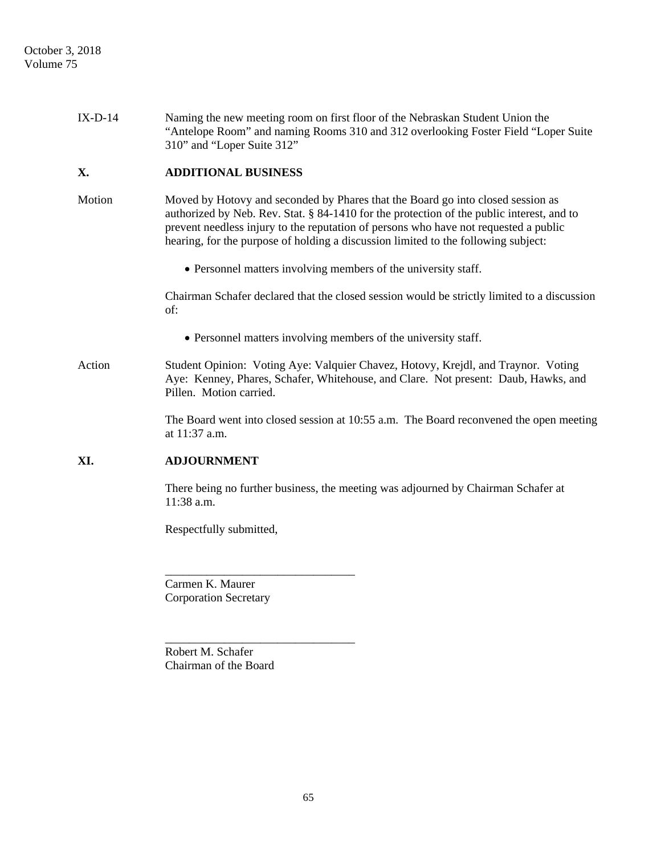| $IX-D-14$ | Naming the new meeting room on first floor of the Nebraskan Student Union the<br>"Antelope Room" and naming Rooms 310 and 312 overlooking Foster Field "Loper Suite"<br>310" and "Loper Suite 312"                                                                                                                                                         |
|-----------|------------------------------------------------------------------------------------------------------------------------------------------------------------------------------------------------------------------------------------------------------------------------------------------------------------------------------------------------------------|
| X.        | <b>ADDITIONAL BUSINESS</b>                                                                                                                                                                                                                                                                                                                                 |
| Motion    | Moved by Hotovy and seconded by Phares that the Board go into closed session as<br>authorized by Neb. Rev. Stat. § 84-1410 for the protection of the public interest, and to<br>prevent needless injury to the reputation of persons who have not requested a public<br>hearing, for the purpose of holding a discussion limited to the following subject: |
|           | • Personnel matters involving members of the university staff.                                                                                                                                                                                                                                                                                             |
|           | Chairman Schafer declared that the closed session would be strictly limited to a discussion<br>of:                                                                                                                                                                                                                                                         |
|           | • Personnel matters involving members of the university staff.                                                                                                                                                                                                                                                                                             |
| Action    | Student Opinion: Voting Aye: Valquier Chavez, Hotovy, Krejdl, and Traynor. Voting<br>Aye: Kenney, Phares, Schafer, Whitehouse, and Clare. Not present: Daub, Hawks, and<br>Pillen. Motion carried.                                                                                                                                                         |
|           | The Board went into closed session at 10:55 a.m. The Board reconvened the open meeting<br>at 11:37 a.m.                                                                                                                                                                                                                                                    |
| XI.       | <b>ADJOURNMENT</b>                                                                                                                                                                                                                                                                                                                                         |
|           | There being no further business, the meeting was adjourned by Chairman Schafer at<br>11:38 a.m.                                                                                                                                                                                                                                                            |
|           | Respectfully submitted,                                                                                                                                                                                                                                                                                                                                    |
|           |                                                                                                                                                                                                                                                                                                                                                            |
|           | Carmen K. Maurer                                                                                                                                                                                                                                                                                                                                           |
|           | <b>Corporation Secretary</b>                                                                                                                                                                                                                                                                                                                               |

Robert M. Schafer Chairman of the Board

\_\_\_\_\_\_\_\_\_\_\_\_\_\_\_\_\_\_\_\_\_\_\_\_\_\_\_\_\_\_\_\_